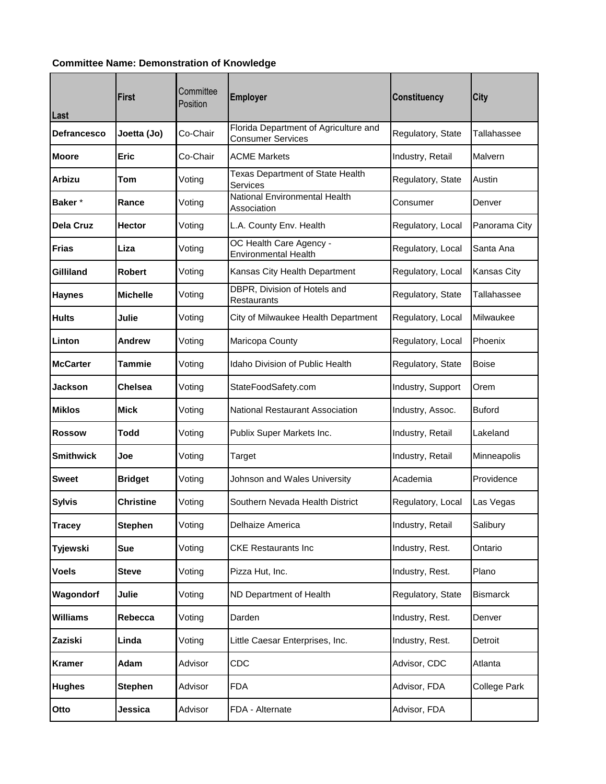## **Committee Name: Demonstration of Knowledge**

| Last               | <b>First</b>     | Committee<br>Position | <b>Employer</b>                                                   | <b>Constituency</b> | City               |
|--------------------|------------------|-----------------------|-------------------------------------------------------------------|---------------------|--------------------|
| <b>Defrancesco</b> | Joetta (Jo)      | Co-Chair              | Florida Department of Agriculture and<br><b>Consumer Services</b> | Regulatory, State   | Tallahassee        |
| <b>Moore</b>       | <b>Eric</b>      | Co-Chair              | <b>ACME Markets</b>                                               | Industry, Retail    | Malvern            |
| <b>Arbizu</b>      | <b>Tom</b>       | Voting                | Texas Department of State Health<br>Services                      | Regulatory, State   | Austin             |
| Baker*             | Rance            | Voting                | National Environmental Health<br>Association                      | Consumer            | Denver             |
| <b>Dela Cruz</b>   | <b>Hector</b>    | Voting                | L.A. County Env. Health                                           | Regulatory, Local   | Panorama City      |
| Frias              | Liza             | Voting                | OC Health Care Agency -<br><b>Environmental Health</b>            | Regulatory, Local   | Santa Ana          |
| Gilliland          | <b>Robert</b>    | Voting                | Kansas City Health Department                                     | Regulatory, Local   | <b>Kansas City</b> |
| <b>Haynes</b>      | <b>Michelle</b>  | Voting                | DBPR, Division of Hotels and<br><b>Restaurants</b>                | Regulatory, State   | Tallahassee        |
| <b>Hults</b>       | Julie            | Voting                | City of Milwaukee Health Department                               | Regulatory, Local   | Milwaukee          |
| Linton             | Andrew           | Voting                | Maricopa County                                                   | Regulatory, Local   | Phoenix            |
| <b>McCarter</b>    | Tammie           | Voting                | Idaho Division of Public Health                                   | Regulatory, State   | <b>Boise</b>       |
| Jackson            | <b>Chelsea</b>   | Voting                | StateFoodSafety.com                                               | Industry, Support   | Orem               |
| <b>Miklos</b>      | <b>Mick</b>      | Voting                | National Restaurant Association                                   | Industry, Assoc.    | <b>Buford</b>      |
| <b>Rossow</b>      | Todd             | Voting                | Publix Super Markets Inc.                                         | Industry, Retail    | Lakeland           |
| <b>Smithwick</b>   | Joe              | Voting                | Target                                                            | Industry, Retail    | Minneapolis        |
| <b>Sweet</b>       | <b>Bridget</b>   | Voting                | Johnson and Wales University                                      | Academia            | Providence         |
| <b>Sylvis</b>      | <b>Christine</b> | Voting                | Southern Nevada Health District                                   | Regulatory, Local   | Las Vegas          |
| <b>Tracey</b>      | <b>Stephen</b>   | Voting                | Delhaize America                                                  | Industry, Retail    | Salibury           |
| Tyjewski           | <b>Sue</b>       | Voting                | <b>CKE Restaurants Inc</b>                                        | Industry, Rest.     | Ontario            |
| Voels              | <b>Steve</b>     | Voting                | Pizza Hut, Inc.                                                   | Industry, Rest.     | Plano              |
| Wagondorf          | Julie            | Voting                | ND Department of Health                                           | Regulatory, State   | <b>Bismarck</b>    |
| Williams           | Rebecca          | Voting                | Darden                                                            | Industry, Rest.     | Denver             |
| Zaziski            | Linda            | Voting                | Little Caesar Enterprises, Inc.                                   | Industry, Rest.     | Detroit            |
| <b>Kramer</b>      | Adam             | Advisor               | CDC                                                               | Advisor, CDC        | Atlanta            |
| <b>Hughes</b>      | <b>Stephen</b>   | Advisor               | <b>FDA</b>                                                        | Advisor, FDA        | College Park       |
| Otto               | Jessica          | Advisor               | FDA - Alternate                                                   | Advisor, FDA        |                    |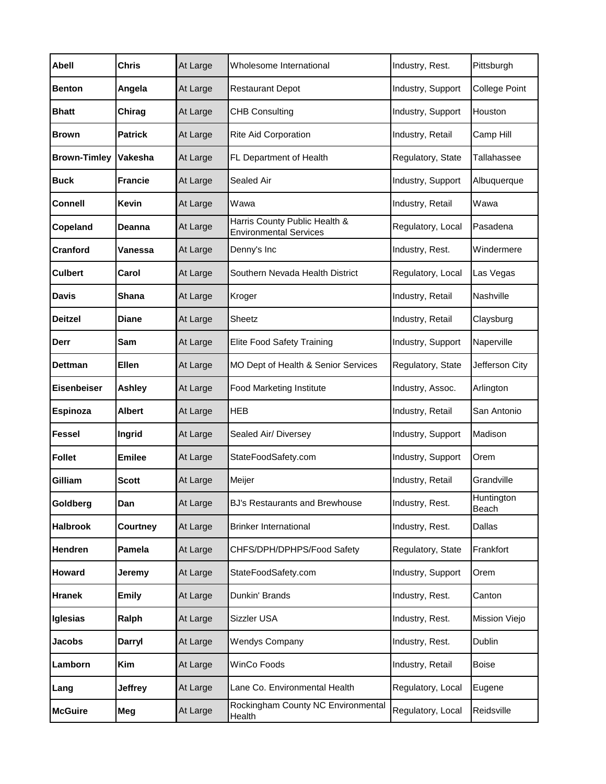| <b>Abell</b>                | <b>Chris</b>   | At Large | Wholesome International                                        | Industry, Rest.   | Pittsburgh           |
|-----------------------------|----------------|----------|----------------------------------------------------------------|-------------------|----------------------|
| <b>Benton</b>               | Angela         | At Large | <b>Restaurant Depot</b>                                        | Industry, Support | <b>College Point</b> |
| <b>Bhatt</b>                | Chirag         | At Large | <b>CHB Consulting</b>                                          | Industry, Support | Houston              |
| <b>Brown</b>                | <b>Patrick</b> | At Large | Rite Aid Corporation                                           | Industry, Retail  | Camp Hill            |
| <b>Brown-Timley Vakesha</b> |                | At Large | FL Department of Health                                        | Regulatory, State | Tallahassee          |
| <b>Buck</b>                 | <b>Francie</b> | At Large | Sealed Air                                                     | Industry, Support | Albuquerque          |
| <b>Connell</b>              | <b>Kevin</b>   | At Large | Wawa                                                           | Industry, Retail  | Wawa                 |
| Copeland                    | Deanna         | At Large | Harris County Public Health &<br><b>Environmental Services</b> | Regulatory, Local | Pasadena             |
| Cranford                    | Vanessa        | At Large | Denny's Inc                                                    | Industry, Rest.   | Windermere           |
| <b>Culbert</b>              | Carol          | At Large | Southern Nevada Health District                                | Regulatory, Local | Las Vegas            |
| <b>Davis</b>                | <b>Shana</b>   | At Large | Kroger                                                         | Industry, Retail  | Nashville            |
| <b>Deitzel</b>              | <b>Diane</b>   | At Large | Sheetz                                                         | Industry, Retail  | Claysburg            |
| Derr                        | Sam            | At Large | Elite Food Safety Training                                     | Industry, Support | Naperville           |
| <b>Dettman</b>              | <b>Ellen</b>   | At Large | MO Dept of Health & Senior Services                            | Regulatory, State | Jefferson City       |
| <b>Eisenbeiser</b>          | <b>Ashley</b>  | At Large | Food Marketing Institute                                       | Industry, Assoc.  | Arlington            |
| <b>Espinoza</b>             | <b>Albert</b>  | At Large | <b>HEB</b>                                                     | Industry, Retail  | San Antonio          |
| <b>Fessel</b>               | Ingrid         | At Large | Sealed Air/ Diversey                                           | Industry, Support | Madison              |
| <b>Follet</b>               | <b>Emilee</b>  | At Large | StateFoodSafety.com                                            | Industry, Support | Orem                 |
| Gilliam                     | <b>Scott</b>   | At Large | Meijer                                                         | Industry, Retail  | Grandville           |
| Goldberg                    | Dan            | At Large | BJ's Restaurants and Brewhouse                                 | Industry, Rest.   | Huntington<br>Beach  |
| <b>Halbrook</b>             | Courtney       | At Large | <b>Brinker International</b>                                   | Industry, Rest.   | Dallas               |
| <b>Hendren</b>              | Pamela         | At Large | CHFS/DPH/DPHPS/Food Safety                                     | Regulatory, State | Frankfort            |
| <b>Howard</b>               | Jeremy         | At Large | StateFoodSafety.com                                            | Industry, Support | Orem                 |
| <b>Hranek</b>               | <b>Emily</b>   | At Large | Dunkin' Brands                                                 | Industry, Rest.   | Canton               |
| Iglesias                    | Ralph          | At Large | Sizzler USA                                                    | Industry, Rest.   | Mission Viejo        |
| Jacobs                      | Darryl         | At Large | <b>Wendys Company</b>                                          | Industry, Rest.   | Dublin               |
| Lamborn                     | Kim            | At Large | WinCo Foods                                                    | Industry, Retail  | <b>Boise</b>         |
| Lang                        | <b>Jeffrey</b> | At Large | Lane Co. Environmental Health                                  | Regulatory, Local | Eugene               |
| <b>McGuire</b>              | Meg            | At Large | Rockingham County NC Environmental<br>Health                   | Regulatory, Local | Reidsville           |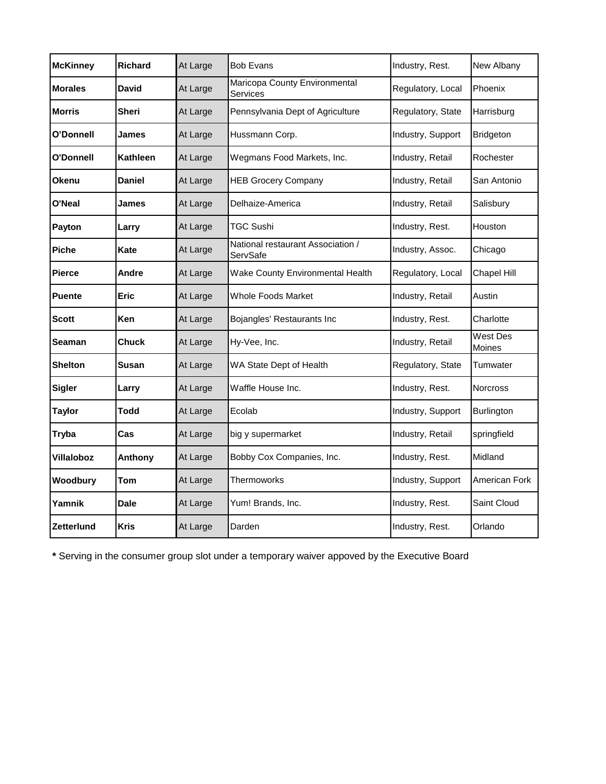| <b>McKinney</b> | <b>Richard</b> | At Large | <b>Bob Evans</b>                              | Industry, Rest.   | New Albany         |
|-----------------|----------------|----------|-----------------------------------------------|-------------------|--------------------|
| <b>Morales</b>  | <b>David</b>   | At Large | Maricopa County Environmental<br>Services     | Regulatory, Local | Phoenix            |
| Morris          | Sheri          | At Large | Pennsylvania Dept of Agriculture              | Regulatory, State | Harrisburg         |
| O'Donnell       | James          | At Large | Hussmann Corp.                                | Industry, Support | Bridgeton          |
| O'Donnell       | Kathleen       | At Large | Wegmans Food Markets, Inc.                    | Industry, Retail  | Rochester          |
| Okenu           | <b>Daniel</b>  | At Large | <b>HEB Grocery Company</b>                    | Industry, Retail  | San Antonio        |
| O'Neal          | James          | At Large | Delhaize-America                              | Industry, Retail  | Salisbury          |
| Payton          | Larry          | At Large | <b>TGC Sushi</b>                              | Industry, Rest.   | Houston            |
| <b>Piche</b>    | Kate           | At Large | National restaurant Association /<br>ServSafe | Industry, Assoc.  | Chicago            |
| <b>Pierce</b>   | Andre          | At Large | Wake County Environmental Health              | Regulatory, Local | Chapel Hill        |
| <b>Puente</b>   | <b>Eric</b>    | At Large | Whole Foods Market                            | Industry, Retail  | Austin             |
| Scott           | Ken            | At Large | Bojangles' Restaurants Inc                    | Industry, Rest.   | Charlotte          |
| Seaman          | Chuck          | At Large | Hy-Vee, Inc.                                  | Industry, Retail  | West Des<br>Moines |
| <b>Shelton</b>  | <b>Susan</b>   | At Large | WA State Dept of Health                       | Regulatory, State | Tumwater           |
| <b>Sigler</b>   | Larry          | At Large | Waffle House Inc.                             | Industry, Rest.   | <b>Norcross</b>    |
| <b>Taylor</b>   | <b>Todd</b>    | At Large | Ecolab                                        | Industry, Support | <b>Burlington</b>  |
| <b>Tryba</b>    | Cas            | At Large | big y supermarket                             | Industry, Retail  | springfield        |
| Villaloboz      | Anthony        | At Large | Bobby Cox Companies, Inc.                     | Industry, Rest.   | Midland            |
| Woodbury        | Tom            | At Large | Thermoworks                                   | Industry, Support | American Fork      |
| Yamnik          | <b>Dale</b>    | At Large | Yum! Brands, Inc.                             | Industry, Rest.   | Saint Cloud        |
| Zetterlund      | <b>Kris</b>    | At Large | Darden                                        | Industry, Rest.   | Orlando            |

**\*** Serving in the consumer group slot under a temporary waiver appoved by the Executive Board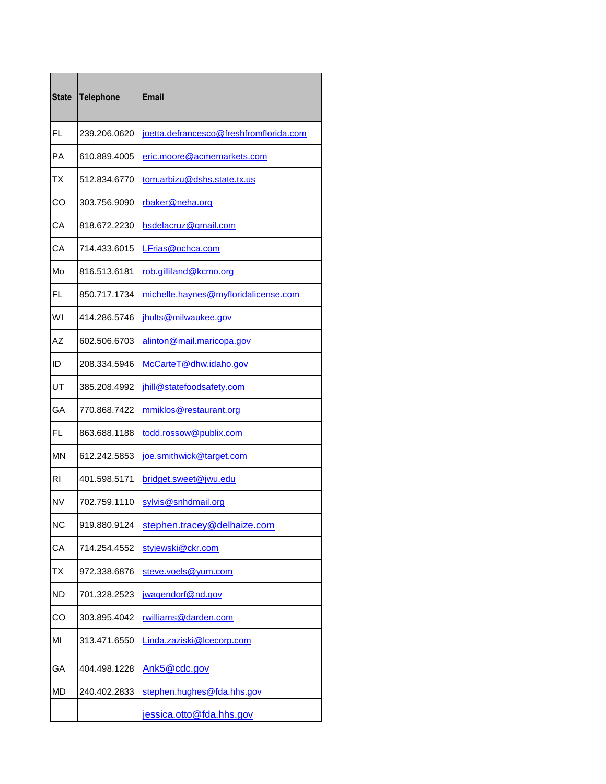| <b>State</b> | <b>Telephone</b> | <b>Email</b>                            |
|--------------|------------------|-----------------------------------------|
| FL           | 239.206.0620     | joetta.defrancesco@freshfromflorida.com |
| PA           | 610.889.4005     | eric.moore@acmemarkets.com              |
| <b>TX</b>    | 512.834.6770     | tom.arbizu@dshs.state.tx.us             |
| CO           | 303.756.9090     | rbaker@neha.org                         |
| CA           | 818.672.2230     | hsdelacruz@gmail.com                    |
| CA           | 714.433.6015     | LFrias@ochca.com                        |
| Mo           | 816.513.6181     | rob.gilliland@kcmo.org                  |
| FL           | 850.717.1734     | michelle.haynes@myfloridalicense.com    |
| WI           | 414.286.5746     | jhults@milwaukee.gov                    |
| AZ           | 602.506.6703     | alinton@mail.maricopa.gov               |
| ID           | 208.334.5946     | McCarteT@dhw.idaho.gov                  |
| UT           | 385.208.4992     | jhill@statefoodsafety.com               |
| GA           | 770.868.7422     | mmiklos@restaurant.org                  |
| FL           | 863.688.1188     | todd.rossow@publix.com                  |
| <b>MN</b>    | 612.242.5853     | joe.smithwick@target.com                |
| RI           | 401.598.5171     | bridget.sweet@jwu.edu                   |
| <b>NV</b>    | 702.759.1110     | sylvis@snhdmail.org                     |
| <b>NC</b>    | 919.880.9124     | stephen.tracey@delhaize.com             |
| CA           | 714.254.4552     | styjewski@ckr.com                       |
| <b>TX</b>    | 972.338.6876     | steve.voels@yum.com                     |
| <b>ND</b>    | 701.328.2523     | jwagendorf@nd.gov                       |
| CO           | 303.895.4042     | rwilliams@darden.com                    |
| MI           | 313.471.6550     | Linda.zaziski@lcecorp.com               |
| GА           | 404.498.1228     | Ank5@cdc.gov                            |
| MD           | 240.402.2833     | stephen.hughes@fda.hhs.gov              |
|              |                  | jessica.otto@fda.hhs.gov                |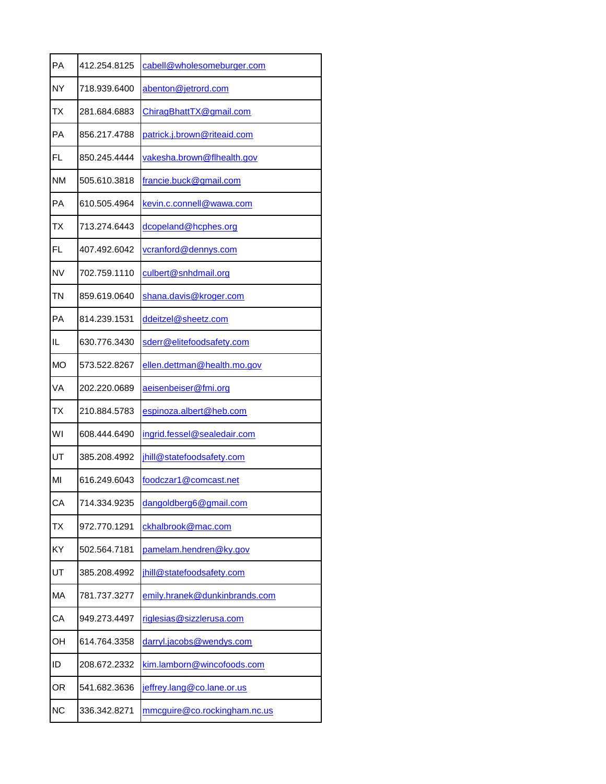| PA        | 412.254.8125 | cabell@wholesomeburger.com    |
|-----------|--------------|-------------------------------|
| <b>NY</b> | 718.939.6400 | abenton@jetrord.com           |
| ТX        | 281.684.6883 | ChiragBhattTX@gmail.com       |
| PА        | 856.217.4788 | patrick.j.brown@riteaid.com   |
| <b>FL</b> | 850.245.4444 | vakesha.brown@flhealth.gov    |
| <b>NM</b> | 505.610.3818 | francie.buck@gmail.com        |
| PA        | 610.505.4964 | kevin.c.connell@wawa.com      |
| ТX        | 713.274.6443 | dcopeland@hcphes.org          |
| FL.       | 407.492.6042 | vcranford@dennys.com          |
| <b>NV</b> | 702.759.1110 | culbert@snhdmail.org          |
| TN        | 859.619.0640 | shana.davis@kroger.com        |
| PA        | 814.239.1531 | ddeitzel@sheetz.com           |
| IL        | 630.776.3430 | sderr@elitefoodsafety.com     |
| <b>MO</b> | 573.522.8267 | ellen.dettman@health.mo.gov   |
| <b>VA</b> | 202.220.0689 | aeisenbeiser@fmi.org          |
| TX        | 210.884.5783 | espinoza.albert@heb.com       |
| WI        | 608.444.6490 | ingrid.fessel@sealedair.com   |
| UT        | 385.208.4992 | jhill@statefoodsafety.com     |
| MI        | 616.249.6043 | foodczar1@comcast.net         |
| СA        | 714.334.9235 | dangoldberg6@gmail.com        |
| <b>TX</b> | 972.770.1291 | ckhalbrook@mac.com            |
| KY        | 502.564.7181 | pamelam.hendren@ky.gov        |
| UT        | 385.208.4992 | jhill@statefoodsafety.com     |
| MA        | 781.737.3277 | emily.hranek@dunkinbrands.com |
| CA        | 949.273.4497 | riglesias@sizzlerusa.com      |
| OН        | 614.764.3358 | darryl.jacobs@wendys.com      |
| ID        | 208.672.2332 | kim.lamborn@wincofoods.com    |
| OR        | 541.682.3636 | jeffrey.lang@co.lane.or.us    |
| <b>NC</b> | 336.342.8271 | mmcguire@co.rockingham.nc.us  |